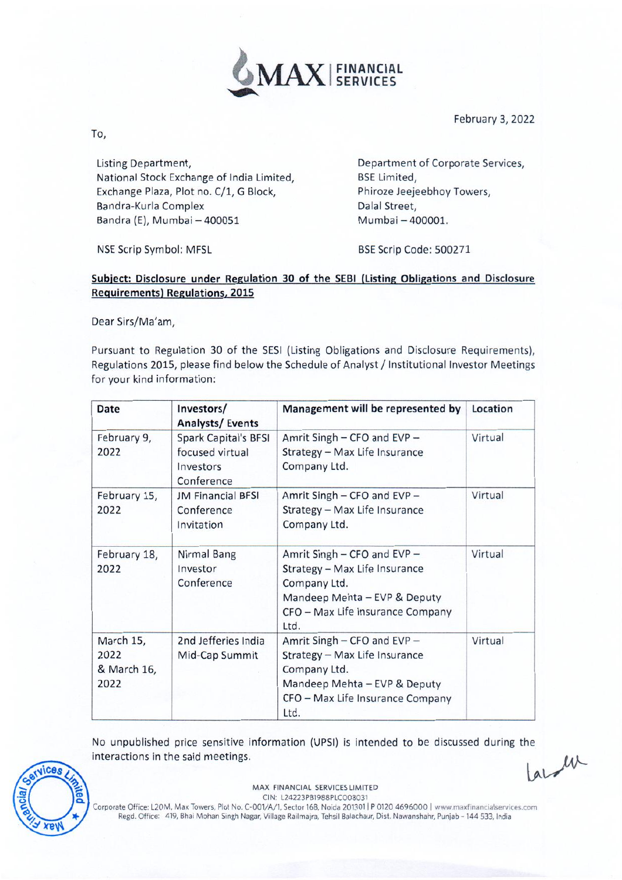

February 3, 2022

To,

Listing Department, National Stock Exchange of India Limited, Exchange Plaza, Plot no. C/1, G Block, Bandra-Kurla Complex Bandra (E), Mumbai — 400051

Department of Corporate Services, BSE Limited, Phiroze Jeejeebhoy Towers, Dalal Street, Mumbai — 400001.

NSE Scrip Symbol: MFSL BSE Scrip Code: 500271

## Subject: Disclosure under Regulation 30 of the SEBI (Listing Obligations and Disclosure Requirements) Regulations, 2015

Dear Sirs/Ma'am,

Pursuant to Regulation 30 of the SESI (Listing Obligations and Disclosure Requirements), Regulations 2015, please find below the Schedule of Analyst / Institutional Investor Meetings for your kind information:

| <b>Date</b>                              | Investors/<br><b>Analysts/Events</b>                                      | Management will be represented by                                                                                                                        | Location |
|------------------------------------------|---------------------------------------------------------------------------|----------------------------------------------------------------------------------------------------------------------------------------------------------|----------|
| February 9,<br>2022                      | <b>Spark Capital's BFSI</b><br>focused virtual<br>Investors<br>Conference | Amrit Singh - CFO and EVP -<br>Strategy - Max Life Insurance<br>Company Ltd.                                                                             | Virtual  |
| February 15,<br>2022                     | <b>JM Financial BFSI</b><br>Conference<br>Invitation                      | Amrit Singh - CFO and EVP -<br>Strategy - Max Life Insurance<br>Company Ltd.                                                                             | Virtual  |
| February 18,<br>2022                     | Nirmal Bang<br>Investor<br>Conference                                     | Amrit Singh - CFO and EVP -<br>Strategy - Max Life Insurance<br>Company Ltd.<br>Mandeep Mehta - EVP & Deputy<br>CFO - Max Life Insurance Company<br>Ltd. | Virtual  |
| March 15,<br>2022<br>& March 16,<br>2022 | 2nd Jefferies India<br>Mid-Cap Summit                                     | Amrit Singh - CFO and EVP -<br>Strategy - Max Life Insurance<br>Company Ltd.<br>Mandeep Mehta - EVP & Deputy<br>CFO - Max Life Insurance Company<br>Ltd. | Virtual  |

No unpublished price sensitive information (UPSI) is intended to be discussed during the interactions in the said meetings. interactions in the said meetings.



MAX FINANCIAL SERVICES LIMITED CIN: L24223PB1988PLC008031

Corporate Office: L20M, Max Towers, Plot No. C-001/A/1, Sector 16B, Noida 201301 I P 0120 4696000 I www.maxfinancialservices.com Regd. Office: 419, Bhai Mohan Singh Nagar, Village Railmajra, Tehsil Balachaur, Dist. Nawanshahr, Punjab - 144 533, India